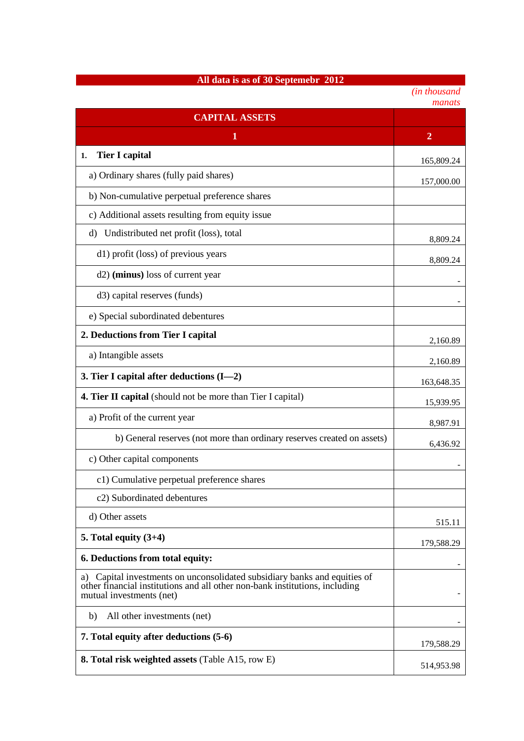## **All data is as of 30 Septemebr 2012**

| (in thousand |
|--------------|
| manats       |

|                                                                                                                                                                                         | manais         |
|-----------------------------------------------------------------------------------------------------------------------------------------------------------------------------------------|----------------|
| <b>CAPITAL ASSETS</b>                                                                                                                                                                   |                |
| 1                                                                                                                                                                                       | $\overline{2}$ |
| <b>Tier I capital</b><br>1.                                                                                                                                                             | 165,809.24     |
| a) Ordinary shares (fully paid shares)                                                                                                                                                  | 157,000.00     |
| b) Non-cumulative perpetual preference shares                                                                                                                                           |                |
| c) Additional assets resulting from equity issue                                                                                                                                        |                |
| Undistributed net profit (loss), total<br>d)                                                                                                                                            | 8,809.24       |
| d1) profit (loss) of previous years                                                                                                                                                     | 8,809.24       |
| d2) (minus) loss of current year                                                                                                                                                        |                |
| d3) capital reserves (funds)                                                                                                                                                            |                |
| e) Special subordinated debentures                                                                                                                                                      |                |
| 2. Deductions from Tier I capital                                                                                                                                                       | 2,160.89       |
| a) Intangible assets                                                                                                                                                                    | 2,160.89       |
| 3. Tier I capital after deductions $(I-2)$                                                                                                                                              | 163,648.35     |
| <b>4. Tier II capital</b> (should not be more than Tier I capital)                                                                                                                      | 15,939.95      |
| a) Profit of the current year                                                                                                                                                           | 8,987.91       |
| b) General reserves (not more than ordinary reserves created on assets)                                                                                                                 | 6,436.92       |
| c) Other capital components                                                                                                                                                             |                |
| c1) Cumulative perpetual preference shares                                                                                                                                              |                |
| c2) Subordinated debentures                                                                                                                                                             |                |
| d) Other assets                                                                                                                                                                         | 515.11         |
| 5. Total equity $(3+4)$                                                                                                                                                                 | 179,588.29     |
| 6. Deductions from total equity:                                                                                                                                                        |                |
| Capital investments on unconsolidated subsidiary banks and equities of<br>a)<br>other financial institutions and all other non-bank institutions, including<br>mutual investments (net) |                |
| All other investments (net)<br>b)                                                                                                                                                       |                |
| 7. Total equity after deductions (5-6)                                                                                                                                                  | 179,588.29     |
| <b>8. Total risk weighted assets (Table A15, row E)</b>                                                                                                                                 | 514,953.98     |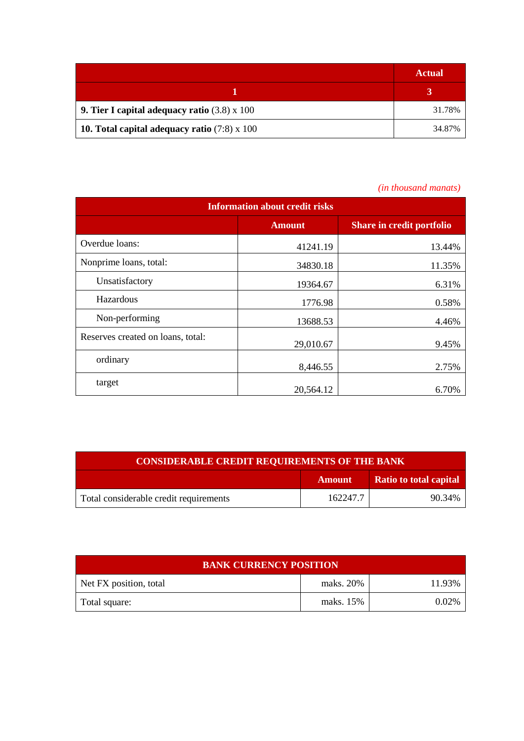|                                                            | <b>Actual</b> |
|------------------------------------------------------------|---------------|
|                                                            |               |
| <b>9. Tier I capital adequacy ratio</b> $(3.8) \times 100$ | 31.78%        |
| 10. Total capital adequacy ratio $(7.8) \times 100$        | 34.87%        |

## *(in thousand manats)*

| <b>Information about credit risks</b> |               |                                  |  |
|---------------------------------------|---------------|----------------------------------|--|
|                                       | <b>Amount</b> | <b>Share in credit portfolio</b> |  |
| Overdue loans:                        | 41241.19      | 13.44%                           |  |
| Nonprime loans, total:                | 34830.18      | 11.35%                           |  |
| Unsatisfactory                        | 19364.67      | 6.31%                            |  |
| Hazardous                             | 1776.98       | 0.58%                            |  |
| Non-performing                        | 13688.53      | 4.46%                            |  |
| Reserves created on loans, total:     | 29,010.67     | 9.45%                            |  |
| ordinary                              | 8,446.55      | 2.75%                            |  |
| target                                | 20,564.12     | 6.70%                            |  |

| <b>CONSIDERABLE CREDIT REQUIREMENTS OF THE BANK</b> |               |                               |
|-----------------------------------------------------|---------------|-------------------------------|
|                                                     | <b>Amount</b> | <b>Ratio to total capital</b> |
| Total considerable credit requirements              | 162247.7      | 90.34%                        |

| <b>BANK CURRENCY POSITION</b> |           |          |  |
|-------------------------------|-----------|----------|--|
| Net FX position, total        | maks. 20% | 11.93%   |  |
| Total square:                 | maks. 15% | $0.02\%$ |  |